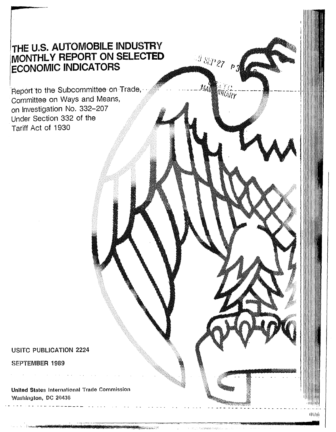# THE U.S. AUTOMOBILE INDUSTRY MONTHLY REPORT ON SELECTED **ECONOMIC INDICATORS**

 $^{59}$  SEP 27 pg

**ANTICATE** 

Report to the Subcommittee on Trade, Committee on Ways and Means, on Investigation No. 332-207 Under Section 332 of the Tariff Act of 1930

### **USITC PUBLICATION 2224**

#### SEPTEMBER 1989

**United States International Trade Commission** Washington, DC 20436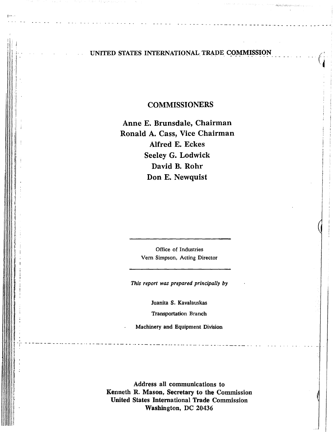#### UNITED STATES INTERNATIONAL TRADE COMMISSION

- - - - - - ... -- -·- - -- - ' - - - ·- -- ..... - - - - - . - - - - - - ... - -

 $|***|$ 

 $\mathfrak{g}$ I  $\blacksquare$ 

l ., '

 $\vert$ ,,

 $\parallel$ 

 $\vert$ 

il. ii. li II I' I

ll I 'I ii i ii ii

il Ii !> '.I i<br>il.

**I**<br>I<br>I

lj

I

 $\|$  .

Ii

~ Ii ~ 1. I· ii ! 1: i I I ,1

#### COMMISSIONERS

Anne E. Brunsdale, Chairman Ronald A. Cass, Vice Chairman Alfred E. Eckes Seeley G. Lodwick David B. Rohr Don E. Newquist

> Office of Industries Vern Simpson, Acting Director

*This report was prepared principally by* 

Juanita S. Kavalauskas Transportation Branch

Machinery and Equipment Division

fing the first correlation of a constant constant and constant constant constant constant constant constant  $\tau$  .

Address all communications to Kenneth R. Mason, Secretary to the Commission United States International Trade Commission Washington, DC 20436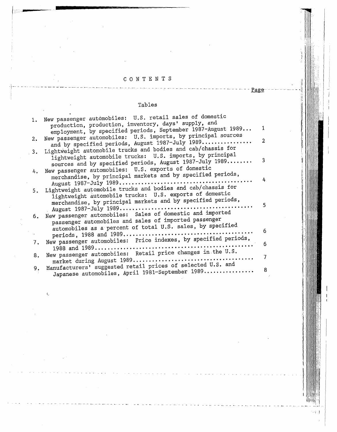## C O N T E N T S --------------------------- - '"" - - - - - --- - - - - - - - - -- - - -- - - Page-- - - - - - - - · i;

:1

I I

 $\{ \cdot \}$  .  $\}$ 

#### Tables

|    | 1. New passenger automobiles: U.S. retail sales of domestic                                                               |                |
|----|---------------------------------------------------------------------------------------------------------------------------|----------------|
|    | production, production, inventory, days' supply, and<br>employment, by specified periods, September 1987-August 1989      | $\mathbf{1}$   |
| 2. | New passenger automobiles: U.S. imports, by principal sources<br>and by specified periods, August 1987-July 1989          | $\overline{2}$ |
| 3. | Lightweight automobile trucks and bodies and cab/chassis for<br>lightweight automobile trucks: U.S. imports, by principal |                |
|    | sources and by specified periods, August 1987-July 1989                                                                   | 3              |
| 4. | New passenger automobiles: U.S. exports of domestic<br>merchandise, by principal markets and by specified periods,        | 4              |
|    | Lightweight automobile trucks and bodies and cab/chassis for                                                              |                |
| 5. | lightweight automobile trucks: U.S. exports of domestic                                                                   |                |
|    | merchandise, by principal markets and by specified periods,                                                               | 5              |
| 6. | New passenger automobiles: Sales of domestic and imported<br>passenger automobiles and sales of imported passenger        |                |
|    | automobiles as a percent of total U.S. sales, by specified                                                                | 6              |
|    | New passenger automobiles: Price indexes, by specified periods,                                                           |                |
| 7. |                                                                                                                           | 6              |
| 8. | New passenger automobiles: Retail price changes in the U.S.                                                               | $\overline{7}$ |
| 9. | Manufacturers' suggested retail prices of selected U.S. and                                                               | 8              |
|    | Japanese automobiles, April 1981-September 1989                                                                           |                |

(~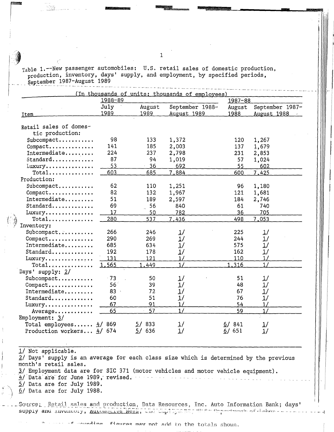Table 1.--New passenger automobiles: U.S. retail sales of domestic production, production, inventory, days' supply, and employment, by specified periods, September 1987-August 1989

ranger<br>1990 – Santa Bandaria<br>1990 – Santa Bandaria

|                            | 1988-89         |                | (In thousands of units: thousands of employees) | $1987 - 88$    |                                |
|----------------------------|-----------------|----------------|-------------------------------------------------|----------------|--------------------------------|
|                            | July<br>1989    | August<br>1989 | September 1988-<br>August 1989                  | August<br>1988 | September 1987-<br>August 1988 |
| <b>Item</b>                |                 |                |                                                 |                |                                |
|                            |                 |                |                                                 |                |                                |
| Retail sales of domes-     |                 |                |                                                 |                |                                |
| tic production:            |                 |                |                                                 |                |                                |
| $Subcompact$               | 98              | 133            | 1,372                                           | 120            | 1,267                          |
| Compare                    | 141             | 185            | 2,003                                           | 137            | 1,679                          |
| Intermediate               | 224             | 237            | 2,798                                           | 231            | 2,853                          |
| Standard                   | 87              | 94             | 1,019                                           | 57             | 1,024                          |
| Luxury                     | 53              | $\cdot$ 36     | 692                                             | 55             | 602                            |
| $Total$                    | 603             | 685            | 7,884                                           | 600            | 7,425                          |
| Production:                |                 |                |                                                 |                |                                |
| Subcompact                 | 62              | 110            | 1,251                                           | 96             | 1,180                          |
| Compact                    | 82              | 132            | 1,967                                           | 121            | 1,681                          |
| Intermediate               | 51              | 189            | 2,597                                           | 184            | 2,746                          |
| Standard                   | 69              | 56             | 840                                             | 61             | 740                            |
| Luxury                     | 17              | 50             | 782                                             | 36             | 705                            |
| $Total$                    | 280             | 537            | 7.436                                           | 498            | 7,053                          |
| Inventory:                 |                 |                |                                                 |                |                                |
| Subcompact.                | 266             | 246            | 1/                                              | 225            | 1/                             |
| $Compare \ldots$           | 290             | 269            | 1/                                              | 244            | 1/                             |
| Intermediate               | 685             | 634            | 1/                                              | 575            | 1/                             |
| Standard                   | 192             | 178            | 1/                                              | 162            | 1/                             |
| Luxury                     | 131             | 121            | 1/                                              | 110            | 1/                             |
| $Total$                    | 1,565           | 1.449          | 1/                                              | 1,316          | 1/                             |
|                            |                 |                |                                                 |                |                                |
| Days' supply: 2/           |                 |                |                                                 | 51             |                                |
| Subcompact                 | $-73$           | 50             | <u> 1</u> /                                     |                | $\frac{1}{2}$                  |
| Compact                    | 56 <sup>7</sup> | 39             | 1/                                              | 48             | 1/                             |
| Intermediate               | 83              | 72             | 1/                                              | 67             | 1/                             |
| Standard                   | 60              | 51             | 1/                                              | 76             | 1/                             |
| Luxury                     | 67              | 91             | 1/                                              | 54             | 1/                             |
| Average                    | 65              | 57             | 1/                                              | 59             | 1/                             |
| Employment: $3/$           |                 |                |                                                 |                |                                |
| Total employees $4/869$    |                 | 5/833          | $\frac{1}{2}$                                   | 6/841          | 1/                             |
| Production workers $4/674$ |                 | 5/636          | 1/                                              | 6/651          | 1/                             |

1/ Not applicable.  $2/$  Days' supply is an average for each class size which is determined by the previous month's retail sales.  $\frac{3}{2}$  Employment data are for SIC 371 (motor vehicles and motor vehicle equipment).  $\frac{4}{10}$  Data are for June 1989, revised. 5/ Data are for July 1989.  $6/$  Data are for July 1988.

Source: Retail sales and production, Data Resources, Inc. Auto Information Bank; days' supply and inventory, <u>Automotive News</u>, and the limit was not the postment of Jahor - --

> ممنية figures may not add to the totals shown.

 $\sum_{i=1}^{n}$ 

*t*  ,

 $- - - 1$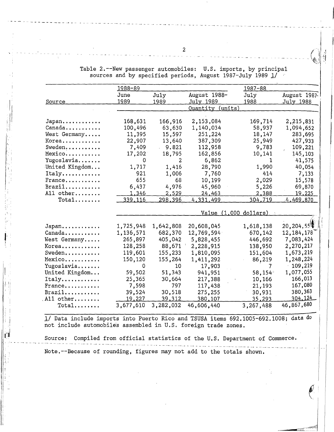Source **Japan ...... , .. , .. Canada .... , ..... .**  West Germany..... **Korea ........... .**  Sweden.......... **Mexico .......... .**  Yugoslavia....... United Kingdom... **Italy .** .......... . France.......... Brazil........... All other........  $Total$ ....... **Japan ........... . Canada .......... .**  West Germany..... **Korea ........... .**  Sweden.......... **Mexico .......... .**  Yugoslavia....... United Kingdom... **Italy ........... . France .......... .**   $Brazil...$ ........ .All other.......  $Total$ ....... 1988-89 June 1989 168,631 100,496 11,395 22,907 7,409 17,202 0 1, 717 921 655 6,437 1.346 339.116 1,725,948 1,136,571 265,897 128,258 119,601 150,120  $\Omega$ 59,502 25,365 7,598 39,524 19.227 3,677,610 July 1989 166,916 63,630 15,597 13,640 9.821 18,795 2 1,416 1,006 68 4,976 2.529 298.396 1,642,808 682,370 405,042 88,671 ) 155,233 155,264 10 51,343 30,664 797 30,518 39.312 3,282,032 August 1988- July 1989 Quantity (units) 2,153,084 1,140,034 251,224 387,309 112,958 162,856 6,862 28,790 7,760 10,199 45,960 24.463 4.331.499 1987-88 July 1988 169,714 58,937 18,147 25,949 9,783 10,141 1 1,990 414 2,029 5,226 <u>2.388</u> 304.719 Va1ue (l,000 dollars) 20,608,045 12,769,594 5,828,455 2,228,915 1,810,095 1,411, 292 17,903 941,951 217,388 117,438 275,255 380,107 46,606,440 1,618,138 670,142 446,692 138,950 151,604 86,2-19 ' 7 58' 154'. 10,166 21,193 30,931 35.293 3,267,488 August 1987- July 1988 2,215,831 1,094,652 283,695 427,933 109,221 145,, 103 41,575 40,054 7·, 133 15,578 69,870 19.225 -4.469.870  $20,204,55\%$ 12, 184, 178 7 ,083 ,424 2,270,217 1,673,219 1,248,224 109,219 1,077 ,055 166,013 167 ,080 380,363 304.124\_ 46,867,680

 $\left| \begin{array}{c} \cdot \cdot \cdot \cdot \end{array} \right|$  $\vert$  : ; .

i:

 $\|$ ri

I: Ii Ii Table 2.--New passenger automobiles: U.S. imports, by principal sources and by specified periods, August 1987-July 1989 1/

1/ Data include imports into Puerto Rico and TSUSA items 692.1005-692.1008; data do not include automobiles assembled in U.S. foreign trade zones.

Source: Compiled from official statistics of the U.S. Department of Commerce. Note.--Because of rounding, figures may not add to the totals shown.

2

-------·------ --- --------- -------------- --- --- ------------------------- ---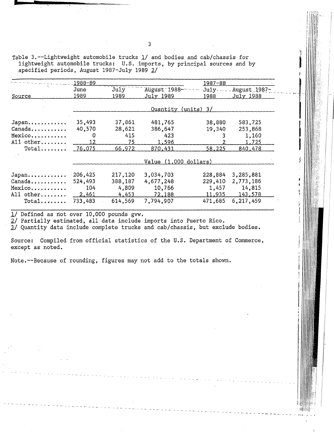Table 3.--Lightweight automobile trucks 1/ and bodies and cab/chassis for lightweight automobile trucks: U.S. imports, by principal sources and by specified periods, August 1987-July 1989 2/

| August 1987-<br>July 1988 |
|---------------------------|
|                           |
|                           |
|                           |
|                           |
| 583,725                   |
| 253,868                   |
| 1,160                     |
| 1,725                     |
| 840,478                   |
|                           |
|                           |
| 3,285,881                 |
| 2,773,186                 |
| 14,815                    |
| 143.578                   |
| 6,217,459                 |
|                           |

1/ Defined as not over 10,000 pounds gvw.

*2./* Partially estimated, all data include imports into Puerto Rico.

J/ Quantity data include complete trucks and cab/chassis, but exclude bodies.

Source: Compiled from official statistics of the U.S. Department of Commerce, except as noted.

- - - - ---- - - -- -- - -- -- - -- - - .,\_\_\_\_ - - ~- - - -- - - <sup>~</sup>- - ---- - - - - - -----------~

Note.--Because of rounding, figures may not add to the totals shown.

ing ang pagkalawang pagkalawang pagkalawang pagkalawang pagkalawang pagkalawang pagkalawang pagkalawang pagkal<br>Kabupatèn Pangkalawang pagkalawang pagkalawang pagkalawang pagkalawang pagkalawang pagkalawang pagkalawang pag<br>

I

**idli** 

**I .**<br>.

I  $\mathbb{I}$ .  $\prod_{i=1}^n$ WI ii,/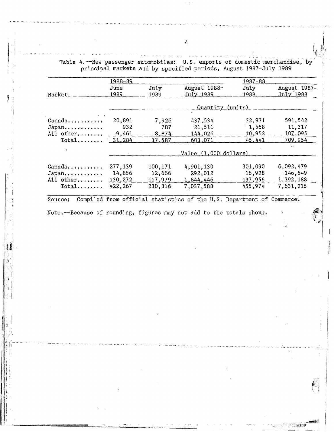------------ ---- - - -- -- - - - - -- - - Table 4.--New passenger automobiles: U.S. exports of domestic merchandise, by principal markets and by specified periods, August 1987-July 1989

|                               | $1988 - 89$ |         |                         | $1987 - 88$ |              |
|-------------------------------|-------------|---------|-------------------------|-------------|--------------|
|                               | June        | July    | August 1988-            | July        | August 1987- |
| Market                        | 1989        | 1989    | July 1989               | 1988        | July 1988    |
|                               |             |         | Quantity (units)        |             |              |
| Canada                        | 20,891      | 7,926   | 437,534                 | 32,931      | 591,542      |
| Japan                         | 932         | 787     | 21,511                  | $-1,558$    | 11,317       |
| All other                     | 9,461       | 8,874   | 144,026                 | 10,952      | 107,095      |
| $Total$                       | 31,284      | 17,587  | 603,071                 | 45,441      | 709.954      |
|                               |             |         |                         |             | is a         |
|                               |             |         | Value $(1,000$ dollars) |             |              |
|                               |             |         |                         |             |              |
| $Canada \ldots \ldots \ldots$ | 277,139     | 100,171 | 4,901,130               | 301,090     | 6,092,479    |
| Japan                         | 14,856      | 12,666  | 292,012                 | 16,928      | 146, 549     |
| All other                     | 130,272     | 117,979 | 1,844,446               | 137,956     | 1,392,188    |
| $Total$                       | 422,267     | 230,816 | 7,037,588               | 455,974     | 7,631,215    |
|                               |             |         |                         |             |              |

Source: Compiled from official statistics of the U.S. Department of Commerce.

Note.--Because of rounding, figures may not add to the totals shown.

*<sup>1</sup>*·! !-- -- - - - - --- - --- - \_ \_\_, - - -- - - -- - - --- - -- - - - • - - - -- - -~ - - ----- - -- - - --- - - - - - --- - - ------ -- - - - - - --- - - --- - - - -- - - -- - - . - - --- - - --- - - ' ! .

4

- - - - - - --- - - -- - - --- - - -- - - - - - -- -- - -- - - -- - --

':( I !  $\mathbb{Z}$ 

- - - -- -

- -- - - -- - - -- - - -- - - - - - --- - - - - - - - - - - - - - - - - - --- - -

: ...

 $|| \mathbf{1} ||$ 

,!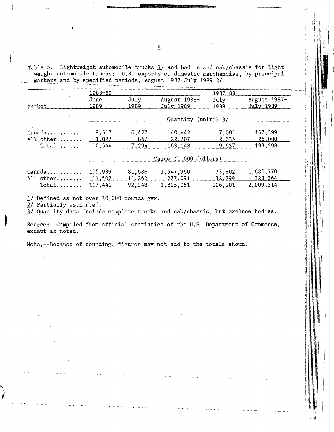Table 5.--Lightweight automobile trucks 1/ and bodies and cab/chassis for lightweight automobile trucks: U.S. exports of domestic' merchandise, by principal markets and by specified periods, August 1987-July 1989 2/

|                               | 1988-89      |              |                           | $1987 - 88$  |                           |  |  |
|-------------------------------|--------------|--------------|---------------------------|--------------|---------------------------|--|--|
| Market                        | June<br>1989 | July<br>1989 | August 1988-<br>July 1989 | July<br>1988 | August 1987-<br>July 1989 |  |  |
|                               |              |              | Quantity (units) 3/       |              |                           |  |  |
|                               |              |              |                           |              |                           |  |  |
| $Canada \ldots \ldots \ldots$ | 9,517        | 6,427        | 140,442                   | 7,001        | 167,399                   |  |  |
| All other                     | 1,027        | 867          | 22,707                    | 2,635        | 26,000                    |  |  |
| $Total$                       | 10,544       | 7,294        | 163,148                   | 9.637        | 193,398                   |  |  |
|                               |              |              | Value (1,000 dollars)     |              |                           |  |  |
| Canada                        | 105,939      | 81,686       | 1,547,960                 | 73,802       | 1,680,770                 |  |  |
| All other                     | 11,502       | 11,262       | 277,091                   | 32,299       | 328,364                   |  |  |
| $Total$                       | 117.441      | 92,948       | 1,825,051                 | 106,101      | 2,009,314                 |  |  |

1/ Defined as not over 10,000 pounds gvw.

*2./* Partially estimated.

*'JI* Quantity data include complete trucks and cab/chassis, but exclude bodies.

Source: Compiled from official statistics of the U.S. Department of Commerce, except as noted.

-------- -- - -- - - -- - - -- - -------------- \_,\_\_ \_\_\_\_\_\_\_\_\_ \_ ,,, ------ --- \_, \_\_

. . ; ; i

Note,--Because of rounding, figures may not add to the totals shown.

5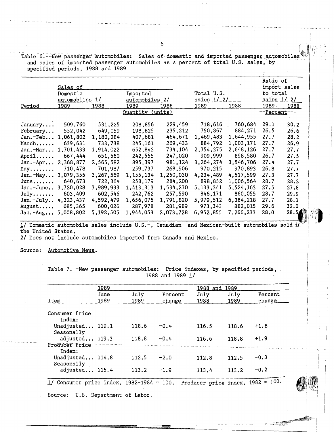Table 6.--New passenger automobiles: Sales of domestic and imported passenger automobiles<br>and sales of imported passenger automobiles as a percent of total U.S. sales, by<br>specified periods, 1988 and 1989

|                        | Sales of-      |           |                       |           |                    |               | Ratio of              | import sales |
|------------------------|----------------|-----------|-----------------------|-----------|--------------------|---------------|-----------------------|--------------|
|                        | Domestic       |           | Imported              |           | Total U.S.         |               | to total              |              |
|                        | automobiles 1/ |           | <u>automobiles 2/</u> |           | <u>sales 1/ 2/</u> |               | <u>sales 1/ 2/</u>    |              |
| Period                 | <u> 1989 </u>  | 1988      | 1989                  | 1988      | 1989               | <u> 1988 </u> | 1989                  | 1988         |
|                        |                |           | Quantity (units)      |           |                    |               | -- <u>Percent</u> --- |              |
|                        |                |           |                       |           |                    |               |                       |              |
| January                | 509,760        | 531,225   | 208,856               | 229,459   | 718,616            | 760,684       | 29.1                  | 30.2         |
| February               | 552,042        | 649,059   | 198,825               | 235,212   | 750,867            | 884,271       | 26.5                  | 26.6         |
| Jan.-Feb 1,061,802     |                | 1,180,284 | 407,681               | 464,671   | 1,469,483          | 1,644,955     | 27.7                  | 28.2         |
| March                  | 639,631        | 733,738   | 245,161               | 269,433   | 884,792            | 1,003,171     | 27.7                  | 26.9         |
| $Jan.-Mar 1,701,433$   |                | 1,914,022 | 652,842               | 734,104   | 2,354,275          | 2,648,126     | 27.7                  | 27.7         |
| April                  | 667,444        | 651,560   | 242,555               | 247,020   | 909,999            | 898,580       | 26.7                  | 27.5         |
| $Jan.-Apr 2,368,877$   |                | 2,565,582 | 895,397               | 981,124   | 3,264,274          | 3,546,706     | 27.4                  | 27.7         |
| May                    | 710,478        | 701,987   | 259,737               | 268,906   | 970,215            | 970,893       | 26.8                  | 27.7         |
| Jan. $-May$ 3,079,355  |                | 3,267,569 | 1, 155, 134           | 1,250,030 | 4,234,489          | 4,517,599     | 27.3                  | 27.7         |
| $June \dots \dots$     | 640,673        | 722,364   | 258,179               | 284,200   | 898,852            | 1,006,564     | 28.7                  | 28.2         |
| Jan.-June 3,720,028    |                | 3,989,933 | 1,413,313             | 1,534,230 | 5, 133, 341        | 5,524,163     | 27.5                  | 27.8         |
| $July \dots \dots$     | 603,409        | 602,546   | 242,762               | 257,590   | 846,171            | 860,055       | 28.7                  | 29.9         |
| $Jan.-July.+4,323,437$ |                | 4,592,479 | 1,656,075             | 1,791,820 | 5,979,512          | 6,384,218     | 27.7                  | 28.1         |
| August                 | 685,365        | 600,026   | 287,978               | 281,989   | 973,343            | 882,015       | 29.6                  | 32.0         |
| $Jan.-Aug 5,008,802$   |                | 5,192,505 | 1,944,053             | 2,073,728 | 6,952,855          | 7,266,233     | 28.0                  | 28.5/        |

1/ Domestic automobile sales include U.S.-, Canadian- and Mexican-built automobiles sold in the United States,

*21* Does not include automobiles imported from Canada and Mexico.

.. - - -- - ----------------------- - - -- - - - - - -- - - - - -

Source: Automotive News.

Table 7.--New passenger automobiles: Price indexes, by specified periods, 1988 and 1989 <u>1</u>/

|                                             | 1989         |              | 1988 and 1989     |                                      |              |                   |  |
|---------------------------------------------|--------------|--------------|-------------------|--------------------------------------|--------------|-------------------|--|
| Item                                        | June<br>1989 | July<br>1989 | Percent<br>change | July<br>1988                         | July<br>1989 | Percent<br>change |  |
|                                             |              |              |                   |                                      |              |                   |  |
| Consumer Price<br>Index:                    |              |              |                   |                                      |              |                   |  |
| Unadjusted 119.1<br>Seasonally              |              | 118.6        | $-0.4$            | 116.5                                | 118.6        | $+1.8$            |  |
| adjusted 119.3                              |              | 118.8        | $-0.4$            | 116.6                                | 118.8        | $+1.9$            |  |
| Producer Price<br>Index:                    |              |              |                   |                                      |              |                   |  |
| Unadjusted 114.8                            |              | 112.5        | $-2.0$            | 112.8                                | 112.5        | $-0.3$            |  |
| Seasonally<br>adjusted 115.4                |              | 113.2        | $-1.9$            | 113.4                                | 113.2        | $-0.2$            |  |
| $1/$ Consumer price index, 1982-1984 = 100. |              |              |                   | Producer price index, $1982 = 100$ . |              |                   |  |
| Source: U.S. Department of Labor.           |              |              |                   |                                      |              |                   |  |

- - - -- - - -- - - - - - - - - - - - -- - - - - - - - - --- - - -- - - - - --

1 - '

1

 $\sim$ 

 $-$  ...,  $-$  ...,  $-$  ...,  $-$  ...,  $-$  ...,  $-$  ...,  $-$  ...,  $-$  ...,  $-$  ...,  $-$  ...,  $-$  ...,  $-$  ...,  $-$  ...,  $-$  ...,  $-$  ...,  $-$  ...,  $-$  ...,  $-$  ...,  $-$  ...,  $-$  ...,  $-$  ...,  $-$  ...,  $-$  ...,  $-$  ...,  $-$  . ' i

**Albert**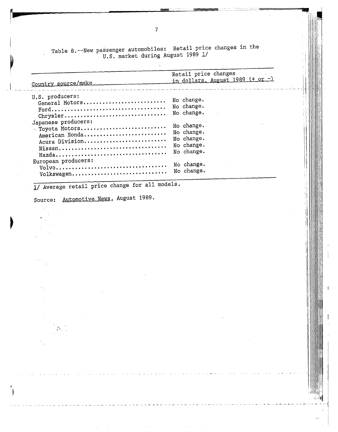Table 8.--New passenger automobiles: Retail price changes in the U.S. market during August 1989 1/

1

l

\l

1! lj' l j: I, 1, 11 ti l

> !1 !\

11 I

:!

 $-11$ 

| Country source/make                                                      | Retail price changes<br>in dollars, August $1989$ (+ or -)         |
|--------------------------------------------------------------------------|--------------------------------------------------------------------|
| U.S. producers:<br>General Motors<br>Chrysler                            | No change.<br>No change.<br>No change.                             |
| Japanese producers:<br>Toyota Motors<br>American Honda<br>Acura Division | No change.<br>No change.<br>No change.<br>No change.<br>No change. |
| European producers:<br>Volkswagen No change.                             | No change.                                                         |

1/ Average retail price change for all models.

 $\bar{z}$ 

Source: Automotive News, August 1989.

. *).*   $t_{\rm e}$ 

 $\bigcup_{i=1}^{n}$ 

 $\mathbb{R}^n$ 

 $\overline{7}$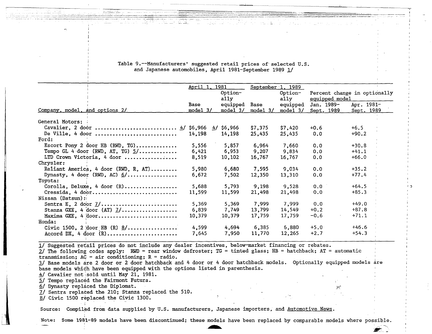| Table 9.--Manufacturers' suggested retail prices of selected U.S. |
|-------------------------------------------------------------------|
| and Japanese automobiles, April 1981-September 1989 1/            |

-·-

|                                         | April 1.<br>1981 |                 | September $1.1989$ |                  |                                                |                   |
|-----------------------------------------|------------------|-----------------|--------------------|------------------|------------------------------------------------|-------------------|
|                                         |                  | Option-<br>a11y |                    | Option-<br>ally  | Percent change in optionally<br>equipped model |                   |
|                                         | Base             | equipped        | Base               | equipped         | Jan. 1989-                                     | Apr. 1981-        |
| Company, model, and options 2/          | model $3/$       | mode1 3/        | $model_3/$         | <u>mode1_3/_</u> | <u>Sept. 1989</u>                              | <u>Sept. 1989</u> |
|                                         |                  |                 |                    |                  |                                                |                   |
| General Motors:                         |                  |                 |                    |                  |                                                |                   |
|                                         |                  |                 | \$7,375            | \$7,420          | $+0.6$                                         | $+6.5$            |
| De Ville, 4 door                        | 14,198           | 14,198          | 25,435             | 25,435           | 0.0                                            | $+90.2$           |
| Ford:                                   |                  |                 |                    |                  |                                                |                   |
| Escort Pony 2 door HB (RWD, TG)         | 5,556            | 5,857           | 6,964              | 7,660            | 0.0                                            | $+30.8$           |
| Tempo GL 4 door (RWD, AT, TG) $5/$      | 6,421            | 6,953           | 9,207              | 9,834            | 0.0                                            | $+41.1$           |
| LTD Crown Victoria, 4 door              | 8,519            | 10,102          | 16,767             | 16,767           | 0.0                                            | $+66.0$           |
| Chrysler:                               |                  |                 |                    |                  |                                                |                   |
| Reliant America, 4 door (RWD, R, AT)    | 5,980            | 6,680           | 7,595              | 9,034            | 0.0                                            | $+35.2$           |
| Dynasty, 4 door (RWD, AC) $6/$          | 6,672            | 7,502           | 12,350             | 13,310           | 0.0                                            | $+77.4$           |
| Toyota:                                 |                  |                 |                    |                  |                                                |                   |
| Corolla, Deluxe, 4 door $(R)$           | 5,688            | 5,793           | 9,198              | 9,528            | 0.0                                            | $+64.5$           |
| Cressida, 4 door                        | 11,599           | 11,599          | 21,498             | 21,498           | 0.0                                            | $+85.3$           |
| $Nissan$ (Datsun):                      |                  |                 |                    |                  |                                                |                   |
|                                         | 5,369            | 5,369           | 7,999              | 7,999            | 0.0                                            | $+49.0$           |
| Stanza GXE, 4 door (AT) $1/$            | 6,839            | 7,749           | 13,799             | 14,549           | $+0.2$                                         | $+87.8$           |
| Maxima GXE, $4$ door                    | 10,379           | 10,379          | 17,759             | 17,759           | $-0.6$                                         | $+71.1$           |
| Honda:                                  |                  |                 |                    |                  |                                                |                   |
|                                         | 4,599            | 4,694           | 6,385              | 6.880            | $+5.0$                                         | $+46.6$           |
| Civic 1500, 2 door HB (R) $\frac{8}{1}$ |                  |                 |                    |                  |                                                |                   |
| Accord DX, 4 door $(R)$                 | 7,645            | 7,950           | 11,770             | 12,265           | $+2.7$                                         | $+54.3$           |

1/ Suggested retail prices do not include any dealer incentives, below-market financing or rebates.

2/ The following codes apply: RWD = rear window defroster; TG = tinted glass; HB = hatchback; AT = automatic transmission;  $AC = air$  conditioning;  $R = radio$ .

transmission; AC = air conditioning; R = radio.<br><u>3</u>/ Base models are 2 door or 2 door hatchback and 4 door or 4 door hatchback models. Optionally equipped models are base models which have been equipped with the options listed in parenthesis.

 $4/$  Cavalier not sold until May 21, 1981.

5/ Tempo replaced the Fairmont Futura.

*§./* Dynasty replaced the Diplomat. .~':"

i

i. ·1

II Sentra replaeed the 210; Stanza replaced the 510.

*Y* Civic 1500 replaced the Ciyic 130a.

Source: Compiled from data supplied by U.S. manufacturers, Japanese importers, and Automotive News.

Note: Some 1981-89 models have been discontinued; these models have been replaced by comparable models where possible.